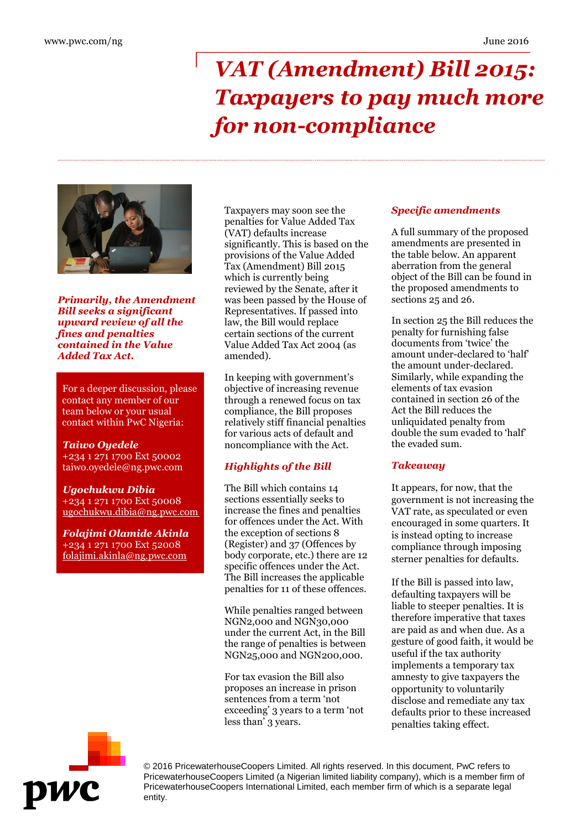# *VAT (Amendment) Bill 2015: Taxpayers to pay much more for non-compliance*



*Primarily, the Amendment Bill seeks a significant upward review of all the fines and penalties contained in the Value Added Tax Act.*

For a deeper discussion, please contact any member of our team below or your usual contact within PwC Nigeria:

#### *Taiwo Oyedele* +234 1 271 1700 Ext 50002 taiwo.oyedele@ng.pwc.com

*Ugochukwu Dibia* +234 1 271 1700 Ext 50008 ugochukwu.dibia@ng.pwc.com

*Folajimi Olamide Akinla* +234 1 271 1700 Ext 52008 folajimi.akinla@ng.pwc.com

Taxpayers may soon see the penalties for Value Added Tax (VAT) defaults increase significantly. This is based on the provisions of the Value Added Tax (Amendment) Bill 2015 which is currently being reviewed by the Senate, after it was been passed by the House of Representatives. If passed into law, the Bill would replace certain sections of the current Value Added Tax Act 2004 (as amended).

In keeping with government's objective of increasing revenue through a renewed focus on tax compliance, the Bill proposes relatively stiff financial penalties for various acts of default and noncompliance with the Act.

## *Highlights of the Bill*

The Bill which contains 14 sections essentially seeks to increase the fines and penalties for offences under the Act. With the exception of sections 8 (Register) and 37 (Offences by body corporate, etc.) there are 12 specific offences under the Act. The Bill increases the applicable penalties for 11 of these offences.

While penalties ranged between NGN2,000 and NGN30,000 under the current Act, in the Bill the range of penalties is between NGN25,000 and NGN200,000.

For tax evasion the Bill also proposes an increase in prison sentences from a term 'not exceeding' 3 years to a term 'not less than' 3 years.

#### *Specific amendments*

A full summary of the proposed amendments are presented in the table below. An apparent aberration from the general object of the Bill can be found in the proposed amendments to sections 25 and 26.

In section 25 the Bill reduces the penalty for furnishing false documents from 'twice' the amount under-declared to 'half' the amount under-declared. Similarly, while expanding the elements of tax evasion contained in section 26 of the Act the Bill reduces the unliquidated penalty from double the sum evaded to 'half' the evaded sum.

#### *Takeaway*

It appears, for now, that the government is not increasing the VAT rate, as speculated or even encouraged in some quarters. It is instead opting to increase compliance through imposing sterner penalties for defaults.

If the Bill is passed into law, defaulting taxpayers will be liable to steeper penalties. It is therefore imperative that taxes are paid as and when due. As a gesture of good faith, it would be useful if the tax authority implements a temporary tax amnesty to give taxpayers the opportunity to voluntarily disclose and remediate any tax defaults prior to these increased penalties taking effect.



© 2016 PricewaterhouseCoopers Limited. All rights reserved. In this document, PwC refers to PricewaterhouseCoopers Limited (a Nigerian limited liability company), which is a member firm of PricewaterhouseCoopers International Limited, each member firm of which is a separate legal entity.